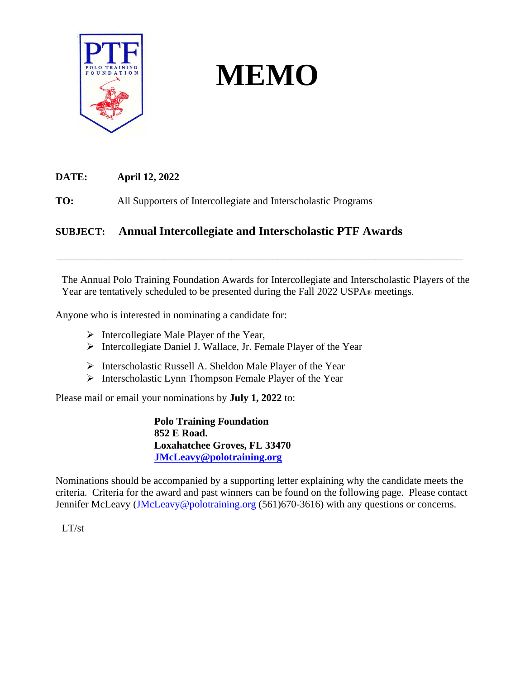

# **MEMO**

**DATE: April 12, 2022**

**TO:** All Supporters of Intercollegiate and Interscholastic Programs

# **SUBJECT: Annual Intercollegiate and Interscholastic PTF Awards**

The Annual Polo Training Foundation Awards for Intercollegiate and Interscholastic Players of the Year are tentatively scheduled to be presented during the Fall 2022 USPA<sup>®</sup> meetings.

\_\_\_\_\_\_\_\_\_\_\_\_\_\_\_\_\_\_\_\_\_\_\_\_\_\_\_\_\_\_\_\_\_\_\_\_\_\_\_\_\_\_\_\_\_\_\_\_\_\_\_\_\_\_\_\_\_\_\_\_\_\_\_\_\_\_\_\_\_\_\_\_\_\_\_\_\_\_\_

Anyone who is interested in nominating a candidate for:

- ➢ Intercollegiate Male Player of the Year,
- ➢ Intercollegiate Daniel J. Wallace, Jr. Female Player of the Year
- ➢ Interscholastic Russell A. Sheldon Male Player of the Year
- ➢ Interscholastic Lynn Thompson Female Player of the Year

Please mail or email your nominations by **July 1, 2022** to:

**Polo Training Foundation 852 E Road. Loxahatchee Groves, FL 33470 [JMcLeavy@polotraining.org](mailto:JMcLeavy@polotraining.org)**

Nominations should be accompanied by a supporting letter explaining why the candidate meets the criteria. Criteria for the award and past winners can be found on the following page. Please contact Jennifer McLeavy [\(JMcLeavy@polotraining.org](mailto:JMcLeavy@polotraining.org) (561)670-3616) with any questions or concerns.

LT/st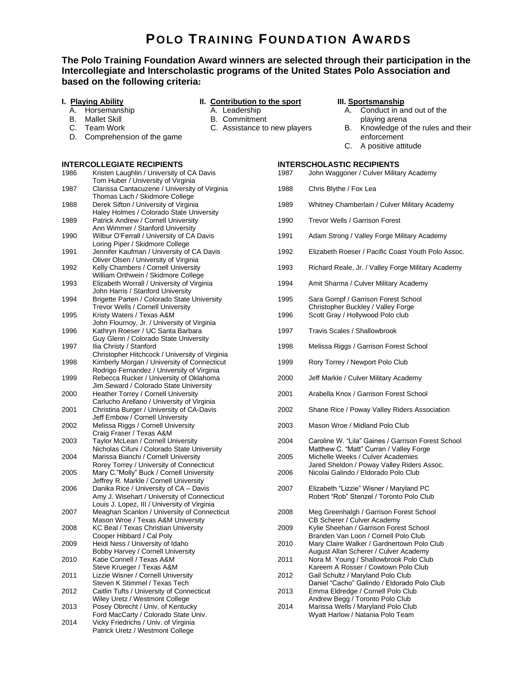# **POLO TRAINING FOUNDATION AWARDS**

## **The Polo Training Foundation Award winners are selected through their participation in the Intercollegiate and Interscholastic programs of the United States Polo Association and based on the following criteria:**

#### **I. Playing Ability** A. Horsemanship

B. Mallet Skill C. Team Work

### **II. Contribution to the sport**

- A. Leadership
- B. Commitment
- C. Assistance to new players

#### **III. Sportsmanship**

- A. Conduct in and out of the
- playing arena B. Knowledge of the rules and their
- enforcement
- C. A positive attitude

## **INTERCOLLEGIATE RECIPIENTS**

D. Comprehension of the game

| 1986 | Kristen Laughlin / University of CA Davis      |
|------|------------------------------------------------|
|      | Tom Huber / University of Virginia             |
| 1987 | Clarissa Cantacuzene / University of Virginia  |
|      | Thomas Lach / Skidmore College                 |
| 1988 | Derek Sifton / University of Virginia          |
|      | Haley Holmes / Colorado State University       |
| 1989 | Patrick Andrew / Cornell University            |
|      | Ann Wimmer / Stanford University               |
| 1990 | Wilbur O'Ferrall / University of CA Davis      |
|      | Loring Piper / Skidmore College                |
| 1991 | Jennifer Kaufman / University of CA Davis      |
|      | Oliver Olsen / University of Virginia          |
| 1992 | Kelly Chambers / Cornell University            |
|      | William Orthwein / Skidmore College            |
| 1993 | Elizabeth Worrall / University of Virginia     |
|      | John Harris / Stanford University              |
| 1994 | Brigette Parten / Colorado State University    |
|      | Trevor Wells / Cornell University              |
| 1995 | Kristy Waters / Texas A&M                      |
|      | John Flournoy, Jr. / University of Virginia    |
| 1996 | Kathryn Roeser / UC Santa Barbara              |
|      | Guy Glenn / Colorado State University          |
| 1997 | Ilia Christy / Stanford                        |
|      | Christopher Hitchcock / University of Virginia |
| 1998 | Kimberly Morgan / University of Connecticut    |
|      | Rodrigo Fernandez / University of Virginia     |
| 1999 | Rebecca Rucker / University of Oklahoma        |
|      | Jim Seward / Colorado State University         |
| 2000 | Heather Torrey / Cornell University            |
|      | Carlucho Arellano / University of Virginia     |
| 2001 | Christina Burger / University of CA-Davis      |
|      | Jeff Embow / Cornell University                |
| 2002 | Melissa Riggs / Cornell University             |
|      | Craig Fraser / Texas A&M                       |
| 2003 | Taylor McLean / Cornell University             |
|      | Nicholas Cifuni / Colorado State University    |
| 2004 | Marissa Bianchi / Cornell University           |
|      | Rorey Torrey / University of Connecticut       |
| 2005 | Mary C."Molly" Buck / Cornell University       |
|      | Jeffrey R. Markle / Cornell University         |
| 2006 | Danika Rice / University of CA - Davis         |
|      | Amy J. Wisehart / University of Connecticut    |
|      | Louis J. Lopez, III / University of Virginia   |
| 2007 | Meaghan Scanlon / University of Connecticut    |
|      | Mason Wroe / Texas A&M University              |
| 2008 | <b>KC Beal / Texas Christian University</b>    |
|      | Cooper Hibbard / Cal Poly                      |
| 2009 | Heidi Ness / University of Idaho               |
|      | Bobby Harvey / Cornell University              |
| 2010 | Katie Connell / Texas A&M                      |
|      | Steve Krueger / Texas A&M                      |
| 2011 | Lizzie Wisner / Cornell University             |
|      | Steven K Stimmel / Texas Tech                  |
| 2012 | Caitlin Tufts / University of Connecticut      |
|      | Wiley Uretz / Westmont College                 |
| 2013 | Posey Obrecht / Univ. of Kentucky              |
|      | Ford MacCarty / Colorado State Univ.           |
| 2014 | Vicky Friedrichs / Univ. of Virginia           |
|      | Patrick Uretz / Westmont College               |
|      |                                                |

| 1987 | <b>INTERSCHOLASTIC RECIPIENTS</b><br>John Waggoner / Culver Military Academy                                                                                       |  |
|------|--------------------------------------------------------------------------------------------------------------------------------------------------------------------|--|
| 1988 | Chris Blythe / Fox Lea                                                                                                                                             |  |
| 1989 | Whitney Chamberlain / Culver Military Academy                                                                                                                      |  |
| 1990 | Trevor Wells / Garrison Forest                                                                                                                                     |  |
| 1991 | Adam Strong / Valley Forge Military Academy                                                                                                                        |  |
| 1992 | Elizabeth Roeser / Pacific Coast Youth Polo Assoc.                                                                                                                 |  |
| 1993 | Richard Reale, Jr. / Valley Forge Military Academy                                                                                                                 |  |
| 1994 | Amit Sharma / Culver Military Academy                                                                                                                              |  |
| 1995 | Sara Gompf / Garrison Forest School                                                                                                                                |  |
| 1996 | Christopher Buckley / Valley Forge<br>Scott Gray / Hollywood Polo club                                                                                             |  |
| 1997 | Travis Scales / Shallowbrook                                                                                                                                       |  |
| 1998 | Melissa Riggs / Garrison Forest School                                                                                                                             |  |
| 1999 | Rory Torrey / Newport Polo Club                                                                                                                                    |  |
| 2000 | Jeff Markle / Culver Military Academy                                                                                                                              |  |
| 2001 | Arabella Knox / Garrison Forest School                                                                                                                             |  |
| 2002 | Shane Rice / Poway Valley Riders Association                                                                                                                       |  |
| 2003 | Mason Wroe / Midland Polo Club                                                                                                                                     |  |
| 2004 | Caroline W. "Lila" Gaines / Garrison Forest School                                                                                                                 |  |
| 2005 | Matthew C. "Matt" Curran / Valley Forge<br>Michelle Weeks / Culver Academies<br>Jared Sheldon / Poway Valley Riders Assoc.<br>Nicolai Galindo / Eldorado Polo Club |  |
| 2006 |                                                                                                                                                                    |  |
| 2007 | Elizabeth "Lizzie" Wisner / Maryland PC<br>Robert "Rob" Stenzel / Toronto Polo Club                                                                                |  |
| 2008 | Meg Greenhalgh / Garrison Forest School<br>CB Scherer / Culver Academy                                                                                             |  |
| 2009 | Kylie Sheehan / Garrison Forest School<br>Branden Van Loon / Cornell Polo Club                                                                                     |  |
| 2010 | Mary Claire Walker / Gardnertown Polo Club<br>August Allan Scherer / Culver Academy                                                                                |  |
| 2011 | Nora M. Young / Shallowbrook Polo Club                                                                                                                             |  |
| 2012 | Kareem A Rosser / Cowtown Polo Club<br>Gail Schultz / Maryland Polo Club<br>Daniel "Cacho" Galindo / Eldorado Polo Club                                            |  |
|      |                                                                                                                                                                    |  |

- 2013 Emma Eldredge / Cornell Polo Club Andrew Begg / Toronto Polo Club
- 2014 Marissa Wells / Maryland Polo Club Wyatt Harlow / Natania Polo Team